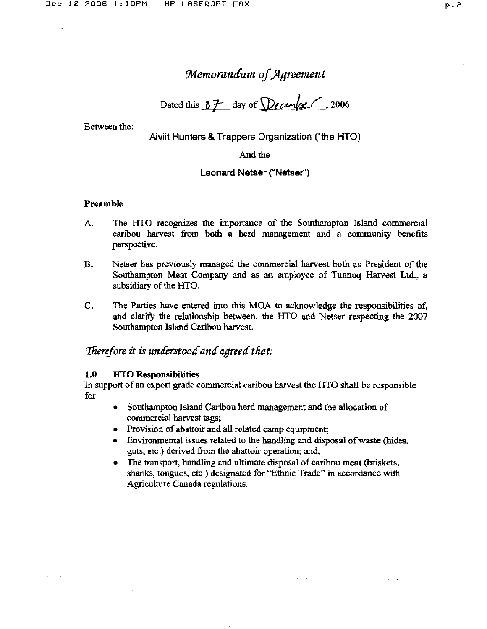# *:Memorandum of Jlgreement*

Dated this  $07$  day of  $Decen/c$ , 2006

Between the:

Aiviit Hunters & Trappers Organization ("the HTO)

And the

#### Leonard Netser ("Netser")

#### Preamble

- A The HTO recognizes the importance of the Southampton Island commercial caribou harvest from both a herd management and a community benefits perspective.
- B. Netser has previously managed the commercial harvest both as President of the Southampton Meat Company and as an employee of Tunnuq Harvest Ltd., a subsidiary of the HTO.
- C. The Parties have entered into this MOA to acknowledge the responsibilities of, and clarify the relationship between, the HTO and Netser respecting the 2007 Southampton Island Caribou harvest.

## *Therefore it is understood and agreed that:*

#### 1.0 HTO Responsibilities

In support of an export grade commercial caribou harvest the HTO shall be responsible for:

- Southampton Island Caribou herd management and the allocation of commercial harvest tags;
- Provision of abattoir and all related camp equipment;
- Environmental issues related to the handling and disposal of waste (hides, guts, etc.) derived from the abattoir operation; and,
- The transport, handling and ultimate disposal of caribou meat (briskets, shanks, tongues, etc.) designated for "Ethnic Trade" in accordance with Agriculture Canada regulations.

 $\sigma$  is a second constraint of the second constraint  $\sigma$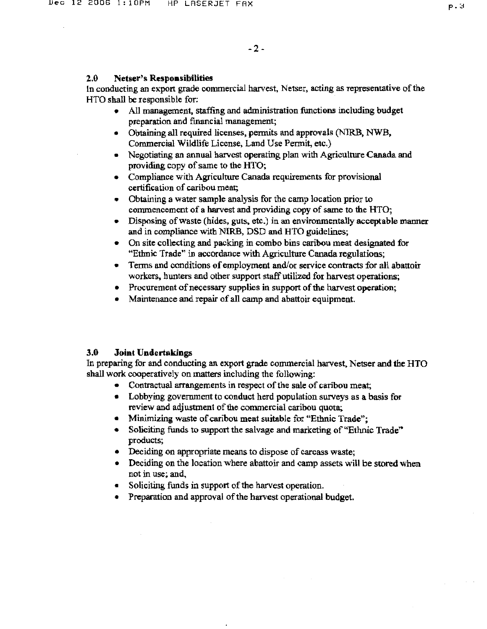#### 2.0 Netser's Respoasibilities

In conducting an export grade commercial harvest, Netser, acting as representative of the HTO shall be responsible for:

- All management, staffing and administration functions including budget preparation and fInancial management;
- Obtaining all required licenses, permits and approvals (N1RB, NWB, Commercial Wildlife License, Land Use Permit, etc.)
- Negotiating an annual harvest operating plan with Agriculture Canada and providing copy of same to the HTO;
- Compliance with Agriculture Canada requirements for provisional certification of caribou meat;
- Obtaining a water sample analysis for the camp location prior to commencement of a harvest and providing copy of same to the HTO;
- Disposing of waste (hides, guts, etc.) in an environmentally acceptable manner and in compliance with NIRB, DSD and HTO guidelines;
- On site collecting and packing in combo bins caribou meat designated for "Ethnic Trade" in accordance with Agriculture Canada regulations;
- Terms and conditions of employment and/or service contracts for all abattoir workers. hunters and other support staff utilized for harvest operations;
- Procurement of necessary supplies in support of the harvest operation;
- Maintenance and repair of all camp and abattoir equipment.

## 3.0 Joint Undertakings

In preparing for and conducting an export grade commercial harvest, Netser and the HTO shall work cooperatively on matters including the following:

- Contractual arrangements in respect of the sale of caribou meat;
- Lobbying government to conduct herd population surveys as a basis for review and adjustment of the commercial caribou quota;
- Minimizing waste of caribou meat suitable for "Ethnic Trade";
- Soliciting funds to support the salvage and marketing of "Ethnic Trade" products;
- Deciding on appropriate means to dispose of carcass waste;
- Deciding on the location where abattoir and camp assets will be stored when not in use; and,
- Soliciting funds in support of the harvest operation.
- Preparation and approval of the harvest operational budget.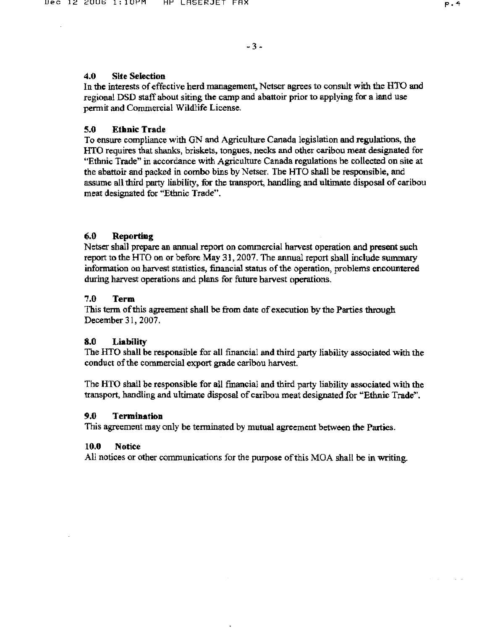## 4.0 Site Selection

In the interests of effective herd management, Netscr agrees to consult with the HTO and regional DSD staff about siting the camp and abattoir prior to applying for a land use permit and Commercial Wildlife License.

## 5.0 Ethnic Trade

To ensure compliance with GN and Agriculture Canada legislation and regulations, the lITO requires that shanks, briskets, tongues, necks and other caribou meat designated for "Ethnic Trade" in accordance with Agriculture Canada regulations be collected on site at the abattoir and packed in combo bins by Netser. The HTO shall be responsible, and assume all third party liability, for the transport, handling and ultimate disposal of caribou meat designated for "Ethnic Trade".

## (i.0 Reporting

Netser shall prepare an annual report on commercial harvest operation and present such report to the HTD on or before May 31, 2007. The annual report shall include summary information on harvest statistics, financial status of the operation, problems encountered during harvest operations and plans for future harvest operations.

## 7.0 Term

This term of this agreement shall be from date of execution by the Parties through December 31,2007.

## 8.0 Liability

The HTO shall be responsible for all financial and third party liability associated with the conduct of the commercial export grade caribou harvest.

The HTO shall be responsible for all fmancial and third party liability associated with the transport, handling and ultimate disposal of caribou meat designated for "Ethnic Trade".

## 9.0 Termination

This agreement may only be terminated by mutual agreement between the Parties.

#### 10.0 Notice

All notices or other communications for the purpose of this MOA shall be in writing.